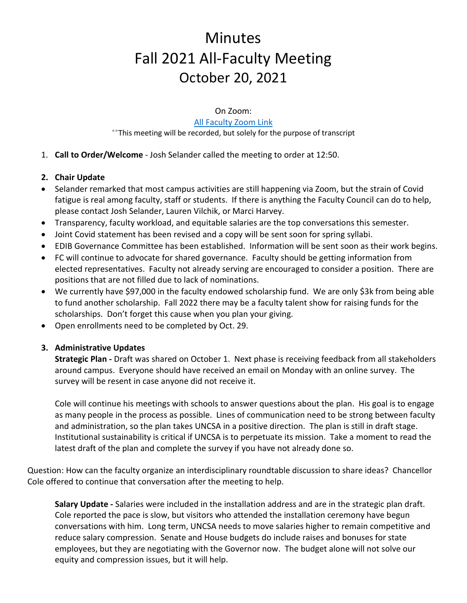# **Minutes** Fall 2021 All-Faculty Meeting October 20, 2021

On Zoom:

#### [All Faculty Zoom Link](https://uncsa.zoom.us/j/96264907181?pwd=Q3F3OHJ6UmNDKyt5UDdqMkR0Yk8xZz09)

\*\*This meeting will be recorded, but solely for the purpose of transcript

- 1. **Call to Order/Welcome** Josh Selander called the meeting to order at 12:50.
- **2. Chair Update**
- Selander remarked that most campus activities are still happening via Zoom, but the strain of Covid fatigue is real among faculty, staff or students. If there is anything the Faculty Council can do to help, please contact Josh Selander, Lauren Vilchik, or Marci Harvey.
- Transparency, faculty workload, and equitable salaries are the top conversations this semester.
- Joint Covid statement has been revised and a copy will be sent soon for spring syllabi.
- EDIB Governance Committee has been established. Information will be sent soon as their work begins.
- FC will continue to advocate for shared governance. Faculty should be getting information from elected representatives. Faculty not already serving are encouraged to consider a position. There are positions that are not filled due to lack of nominations.
- We currently have \$97,000 in the faculty endowed scholarship fund. We are only \$3k from being able to fund another scholarship. Fall 2022 there may be a faculty talent show for raising funds for the scholarships. Don't forget this cause when you plan your giving.
- Open enrollments need to be completed by Oct. 29.

## **3. Administrative Updates**

**Strategic Plan -** Draft was shared on October 1. Next phase is receiving feedback from all stakeholders around campus. Everyone should have received an email on Monday with an online survey. The survey will be resent in case anyone did not receive it.

Cole will continue his meetings with schools to answer questions about the plan. His goal is to engage as many people in the process as possible. Lines of communication need to be strong between faculty and administration, so the plan takes UNCSA in a positive direction. The plan is still in draft stage. Institutional sustainability is critical if UNCSA is to perpetuate its mission. Take a moment to read the latest draft of the plan and complete the survey if you have not already done so.

Question: How can the faculty organize an interdisciplinary roundtable discussion to share ideas? Chancellor Cole offered to continue that conversation after the meeting to help.

**Salary Update -** Salaries were included in the installation address and are in the strategic plan draft. Cole reported the pace is slow, but visitors who attended the installation ceremony have begun conversations with him. Long term, UNCSA needs to move salaries higher to remain competitive and reduce salary compression. Senate and House budgets do include raises and bonuses for state employees, but they are negotiating with the Governor now. The budget alone will not solve our equity and compression issues, but it will help.